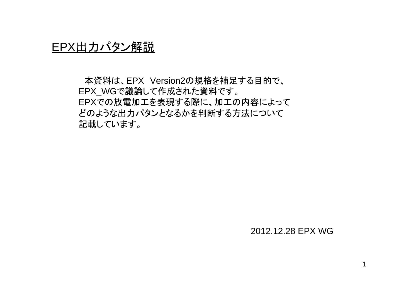# EPX出力パタン解説

本資料は、EPX Version2の規格を補足する目的で、 EPX\_WGで議論して作成された資料です。 EPXでの放電加工を表現する際に、加工の内容によって どのような出力パタンとなるかを判断する方法について 記載しています。

### 2012.12.28 EPX WG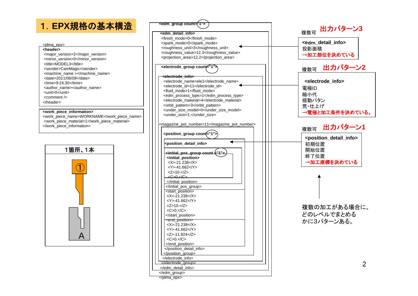## 1.**EPX**規格の基本構造

#### <jdma\_epx>

**<header>**<major\_version>2</major\_version> <minor\_version>0</minor\_version> <title>MODEL3</title> <sender>CamMagic</sender> <machine\_name ></machine\_name> <date>2011/06/09</date><time>9:24:30</time><author\_name></author\_name> <unit>0</unit><comment /></header>

### **<work\_piece\_information>**

<work\_piece\_name>WORKNAME</work\_piece\_name> <work\_piece\_material>1</work\_piece\_material> </work\_piece\_information>



| <edm_group count='("1"'></edm_group>                                                                  |  |
|-------------------------------------------------------------------------------------------------------|--|
| <edm detail="" info=""></edm>                                                                         |  |
| <finish_mode>0</finish_mode>                                                                          |  |
| <spark_mode>0</spark_mode>                                                                            |  |
| <roughness_unit>3</roughness_unit>                                                                    |  |
| <roughness_value>12.3</roughness_value>                                                               |  |
| <projection_area>12.2</projection_area>                                                               |  |
|                                                                                                       |  |
| <electrode_group count="1"></electrode_group>                                                         |  |
| <del><electrode_info< del="">&gt;</electrode_info<></del>                                             |  |
| <electrode_name>ele1</electrode_name>                                                                 |  |
| <electrode id="">11</electrode>                                                                       |  |
| <fluid mode="">1</fluid>                                                                              |  |
| <edm_process_type>1</edm_process_type>                                                                |  |
| <electrode material="">4</electrode>                                                                  |  |
| <orbit_pattern>3</orbit_pattern>                                                                      |  |
| <under model="" size="">0</under>                                                                     |  |
| <under_size>1.</under_size>                                                                           |  |
|                                                                                                       |  |
| <magazine_pot_number>11</magazine_pot_number>                                                         |  |
|                                                                                                       |  |
| <position_group coun<del="">(="1"&gt;</position_group>                                                |  |
| <position_detail_info></position_detail_info>                                                         |  |
|                                                                                                       |  |
| initial_pos_group count <sup>(</sup> "1"∶~                                                            |  |
| <initial_position><br/><math>&lt;\!\!X\!\!&gt;=\!\!21.238&lt;\!\!/X\!\!&gt;</math></initial_position> |  |
| <y>-41.662</y>                                                                                        |  |
| $<$ Z>10. $<$ /Z>                                                                                     |  |
| <c>0.</c>                                                                                             |  |
|                                                                                                       |  |
|                                                                                                       |  |
| <start_position></start_position>                                                                     |  |
| <x>-21.238</x>                                                                                        |  |
| <y>-41.662</y>                                                                                        |  |
| <z>10.</z>                                                                                            |  |
| $<\!\!C\!\!>\!\!0.<\!\!<\!\!/C\!\!>$                                                                  |  |
|                                                                                                       |  |
| <end_position></end_position>                                                                         |  |
| $<$ X>-21.238 $<$ /X>                                                                                 |  |
| <y>-41.662</y>                                                                                        |  |
| <z>-11.924</z>                                                                                        |  |
| $<\!\!C\!\!>\!\!0.<\!\!<\!\!/C\!\!>$                                                                  |  |
|                                                                                                       |  |
|                                                                                                       |  |
| $<$ /position aroup>                                                                                  |  |
|                                                                                                       |  |
|                                                                                                       |  |
|                                                                                                       |  |
|                                                                                                       |  |

**<electrode\_info>** 電極ID 縮小代 揺動パタン 荒・仕上げ→電極と加工条件を決めている。 **<e**dm**\_detail\_info>** 投影面積 →加工部位を決めている **<position\_detail\_info>** 初期位置 開始位置終了位置→加工座標を決めている 複数可 複数可 複数可 複数の加工がある場合に、 どのレベルでまとめるかに3パターンある。 出力パターン **3**出力パターン **2** 出力パターン**1**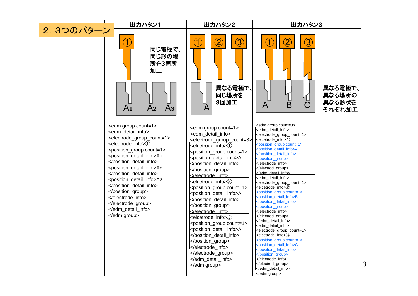|            | 出力パタン1                                                                                                                                                                                                                                                                                                                                                                                                        | 出力パタン2                                                                                                                                                                                                                                                                                                                                                                                                                                                                                                                                                                                                             | 出力パタン3                                                                                                                                                                                                                                                                                                                                                                                                                                                                                                                                                                                                                                                                                                                                                                                                                         |   |
|------------|---------------------------------------------------------------------------------------------------------------------------------------------------------------------------------------------------------------------------------------------------------------------------------------------------------------------------------------------------------------------------------------------------------------|--------------------------------------------------------------------------------------------------------------------------------------------------------------------------------------------------------------------------------------------------------------------------------------------------------------------------------------------------------------------------------------------------------------------------------------------------------------------------------------------------------------------------------------------------------------------------------------------------------------------|--------------------------------------------------------------------------------------------------------------------------------------------------------------------------------------------------------------------------------------------------------------------------------------------------------------------------------------------------------------------------------------------------------------------------------------------------------------------------------------------------------------------------------------------------------------------------------------------------------------------------------------------------------------------------------------------------------------------------------------------------------------------------------------------------------------------------------|---|
| 2. 3つのパターン | $\bigcirc$<br>同じ電極で、<br>同じ形の場<br>所を3箇所<br>加工<br>A <sub>2</sub><br>A <sub>3</sub><br>A <sub>1</sub>                                                                                                                                                                                                                                                                                                            | $\bigcirc \!\! 2$<br>$\bigcirc \hspace{-0.25mm} 3$<br>$\hat{\mathbf{\Phi}}$<br>異なる電極で、<br>同じ場所を<br>3回加工<br>A                                                                                                                                                                                                                                                                                                                                                                                                                                                                                                       | $\bigcirc \hspace{-0.25mm} 3$<br>$\left( 2\right)$<br>$\clubsuit$<br>異なる電極で、<br>異なる場所の<br>異なる形状を<br>$\bar{\mathsf{B}}$<br>A<br>それぞれ加工                                                                                                                                                                                                                                                                                                                                                                                                                                                                                                                                                                                                                                                                                          |   |
|            | <edm count="1" group=""><br/><edm_detail_info><br/><electrode_group_count=1><br/><elcetrode_info>①<br/><position_group count="1"><br/><position detail="" info="">A1<br/><br/><position detail="" info="">A2<br/><br/><position_detail_info>A3<br/></position_detail_info><br/></position></position></position_group><br/><br/><br/></elcetrode_info></electrode_group_count=1></edm_detail_info><br/></edm> | <edm count="1" group=""><br/><edm detail="" info=""><br/><electrode_group_count=3><br/><elcetrode info="">(1)<br/><position_group count="1"><br/><position_detail_info>A<br/></position_detail_info><br/></position_group><br/><br/><elcetrode_info>2<br/><position_group count="1"><br/><position_detail_info>A<br/></position_detail_info><br/></position_group><br/><br/><elcetrode_info>3<br/><position_group count="1"><br/><position_detail_info>A<br/></position_detail_info><br/></position_group><br/><br/><br/><br/></elcetrode_info></elcetrode_info></elcetrode></electrode_group_count=3></edm></edm> | <edm count="3" group=""><br/><edm detail="" info=""><br/><electrode_group_count=1><br/><elcetrode info="">(1)<br/><position_group count="1"><br/><position_detail_info>A<br/></position_detail_info><br/></position_group><br/><br/><br/><br/><edm detail="" info=""><br/><electrode_group_count=1><br/><elcetrode info="">2<br/><position_group count="1"><br/><position_detail_info>B<br/></position_detail_info><br/></position_group><br/><br/><br/><br/><edm_detail_info><br/><electrode_group_count=1><br/><elcetrode_info>3<br/><position_group count="1"><br/><position_detail_info>C<br/></position_detail_info><br/></position_group><br/><br/><br/></elcetrode_info></electrode_group_count=1></edm_detail_info><br/></elcetrode></electrode_group_count=1></edm></elcetrode></electrode_group_count=1></edm></edm> | 3 |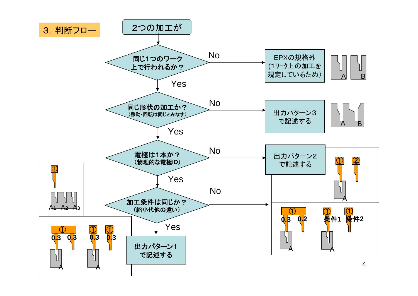